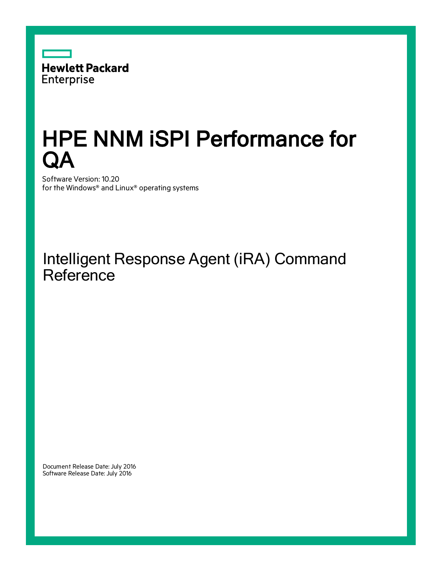

# HPE NNM iSPI Performance for QA

Software Version: 10.20 for the Windows® and Linux® operating systems

### Intelligent Response Agent (iRA) Command **Reference**

Document Release Date: July 2016 Software Release Date: July 2016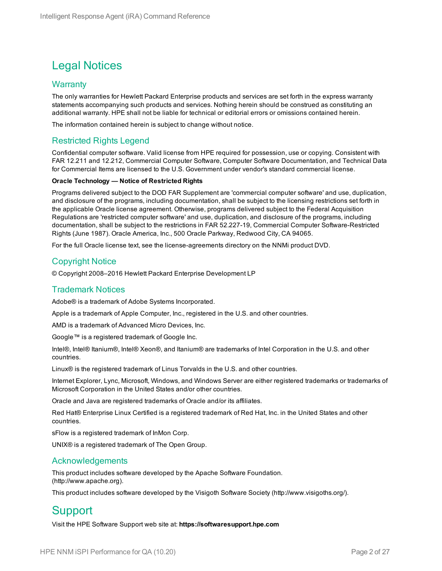### Legal Notices

#### **Warranty**

The only warranties for Hewlett Packard Enterprise products and services are set forth in the express warranty statements accompanying such products and services. Nothing herein should be construed as constituting an additional warranty. HPE shall not be liable for technical or editorial errors or omissions contained herein.

The information contained herein is subject to change without notice.

#### Restricted Rights Legend

Confidential computer software. Valid license from HPE required for possession, use or copying. Consistent with FAR 12.211 and 12.212, Commercial Computer Software, Computer Software Documentation, and Technical Data for Commercial Items are licensed to the U.S. Government under vendor's standard commercial license.

#### **Oracle Technology — Notice of Restricted Rights**

Programs delivered subject to the DOD FAR Supplement are 'commercial computer software' and use, duplication, and disclosure of the programs, including documentation, shall be subject to the licensing restrictions set forth in the applicable Oracle license agreement. Otherwise, programs delivered subject to the Federal Acquisition Regulations are 'restricted computer software' and use, duplication, and disclosure of the programs, including documentation, shall be subject to the restrictions in FAR 52.227-19, Commercial Computer Software-Restricted Rights (June 1987). Oracle America, Inc., 500 Oracle Parkway, Redwood City, CA 94065.

For the full Oracle license text, see the license-agreements directory on the NNMi product DVD.

#### Copyright Notice

© Copyright 2008–2016 Hewlett Packard Enterprise Development LP

#### Trademark Notices

Adobe® is a trademark of Adobe Systems Incorporated.

Apple is a trademark of Apple Computer, Inc., registered in the U.S. and other countries.

AMD is a trademark of Advanced Micro Devices, Inc.

Google™ is a registered trademark of Google Inc.

Intel®, Intel® Itanium®, Intel® Xeon®, and Itanium® are trademarks of Intel Corporation in the U.S. and other countries.

Linux® is the registered trademark of Linus Torvalds in the U.S. and other countries.

Internet Explorer, Lync, Microsoft, Windows, and Windows Server are either registered trademarks or trademarks of Microsoft Corporation in the United States and/or other countries.

Oracle and Java are registered trademarks of Oracle and/or its affiliates.

Red Hat® Enterprise Linux Certified is a registered trademark of Red Hat, Inc. in the United States and other countries.

sFlow is a registered trademark of InMon Corp.

UNIX® is a registered trademark of The Open Group.

#### Acknowledgements

This product includes software developed by the Apache Software Foundation. (http://www.apache.org).

This product includes software developed by the Visigoth Software Society (http://www.visigoths.org/).

### **Support**

Visit the HPE Software Support web site at: **https://softwaresupport.hpe.com**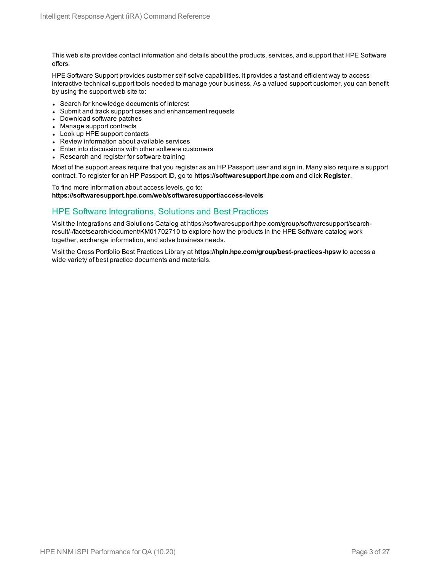This web site provides contact information and details about the products, services, and support that HPE Software offers.

HPE Software Support provides customer self-solve capabilities. It provides a fast and efficient way to access interactive technical support tools needed to manage your business. As a valued support customer, you can benefit by using the support web site to:

- Search for knowledge documents of interest
- Submit and track support cases and enhancement requests
- Download software patches
- Manage support contracts
- Look up HPE support contacts
- Review information about available services
- Enter into discussions with other software customers
- Research and register for software training

Most of the support areas require that you register as an HP Passport user and sign in. Many also require a support contract. To register for an HP Passport ID, go to **https://softwaresupport.hpe.com** and click **Register**.

To find more information about access levels, go to: **https://softwaresupport.hpe.com/web/softwaresupport/access-levels**

#### HPE Software Integrations, Solutions and Best Practices

Visit the Integrations and Solutions Catalog at https://softwaresupport.hpe.com/group/softwaresupport/searchresult/-/facetsearch/document/KM01702710 to explore how the products in the HPE Software catalog work together, exchange information, and solve business needs.

Visit the Cross Portfolio Best Practices Library at **https://hpln.hpe.com/group/best-practices-hpsw** to access a wide variety of best practice documents and materials.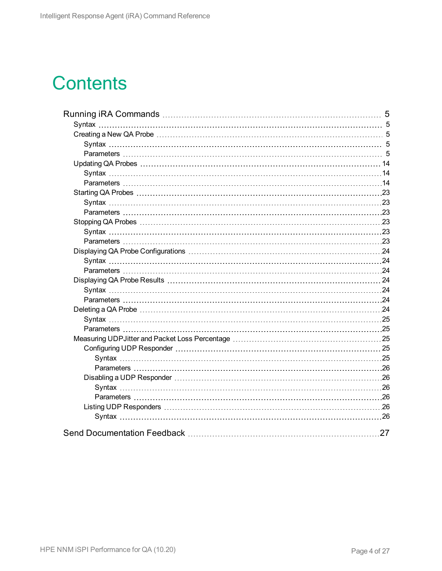# **Contents**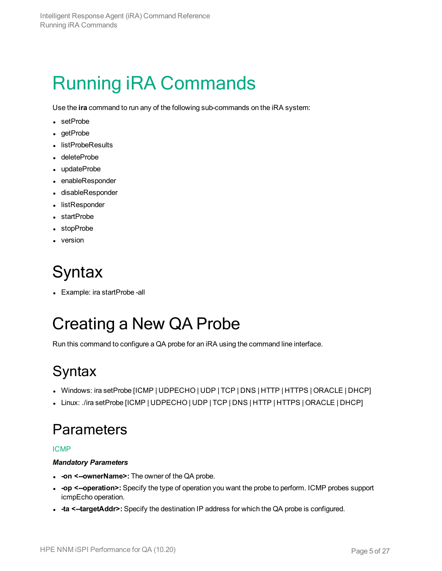# <span id="page-4-0"></span>Running iRA Commands

Use the **ira** command to run any of the following sub-commands on the iRA system:

- setProbe
- $\cdot$  getProbe
- listProbeResults
- deleteProbe
- updateProbe
- enableResponder
- disableResponder
- listResponder
- startProbe
- stopProbe
- <span id="page-4-1"></span> $\bullet$  version

## **Syntax**

<span id="page-4-2"></span>• Example: ira startProbe -all

## Creating a New QA Probe

<span id="page-4-3"></span>Run this command to configure a QA probe for an iRA using the command line interface.

## **Syntax**

- Windows: ira setProbe [ICMP | UDPECHO | UDP | TCP | DNS | HTTP | HTTPS | ORACLE | DHCP]
- <span id="page-4-4"></span>• Linux: ./ira setProbe [ICMP | UDPECHO | UDP | TCP | DNS | HTTP | HTTPS | ORACLE | DHCP]

### **Parameters**

#### ICMP

#### *Mandatory Parameters*

- **on <--ownerName>:** The owner of the QA probe.
- -op <--operation>: Specify the type of operation you want the probe to perform. ICMP probes support icmpEcho operation.
- <sup>l</sup> **-ta <--targetAddr>:** Specify the destination IP address for which the QA probe is configured.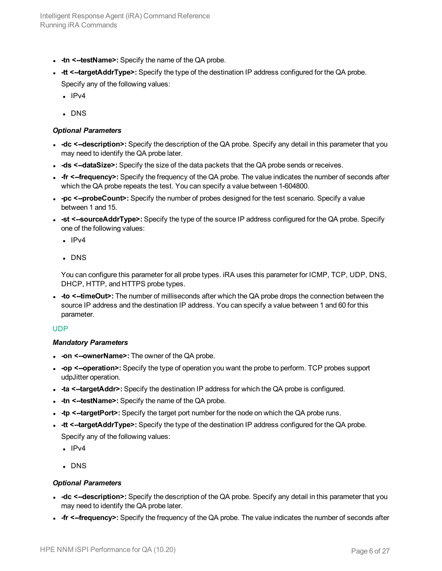- **-tn <--testName>:** Specify the name of the QA probe.
- **-tt <--targetAddrType>:** Specify the type of the destination IP address configured for the QA probe. Specify any of the following values:
	- $\cdot$  IPv4
	- . DNS

#### *Optional Parameters*

- **-dc**  $\le$ -**description>**: Specify the description of the QA probe. Specify any detail in this parameter that you may need to identify the QA probe later.
- **-ds <--dataSize>:** Specify the size of the data packets that the QA probe sends or receives.
- **fr <--frequency>:** Specify the frequency of the QA probe. The value indicates the number of seconds after which the QA probe repeats the test. You can specify a value between 1-604800.
- -pc <--probeCount>: Specify the number of probes designed for the test scenario. Specify a value between 1 and 15.
- **st <--sourceAddrType>:** Specify the type of the source IP address configured for the QA probe. Specify one of the following values:
	- $\cdot$  IPv4
	- . DNS

You can configure this parameter for all probe types. iRA uses this parameter for ICMP, TCP, UDP, DNS, DHCP, HTTP, and HTTPS probe types.

• - to <--timeOut>: The number of milliseconds after which the QA probe drops the connection between the source IP address and the destination IP address. You can specify a value between 1 and 60 for this parameter.

#### UDP

#### *Mandatory Parameters*

- **.** -on **<--ownerName>:** The owner of the QA probe.
- <sup>l</sup> **-op <--operation>:** Specify the type of operation you want the probe to perform. TCP probes support udpJitter operation.
- <sup>l</sup> **-ta <--targetAddr>:** Specify the destination IP address for which the QA probe is configured.
- **-tn <--testName>:** Specify the name of the QA probe.
- - tp <--targetPort>: Specify the target port number for the node on which the QA probe runs.
- **-tt <--targetAddrType>:** Specify the type of the destination IP address configured for the QA probe. Specify any of the following values:
	-
	- $\cdot$  IPv4
	- . DNS

- **-dc**  $\le$ -**description>**: Specify the description of the QA probe. Specify any detail in this parameter that you may need to identify the QA probe later.
- **fr <--frequency>:** Specify the frequency of the QA probe. The value indicates the number of seconds after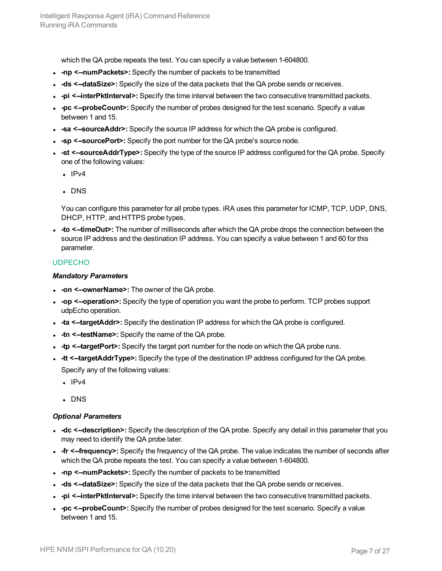which the QA probe repeats the test. You can specify a value between 1-604800.

- <sup>l</sup> **-np <--numPackets>:** Specify the number of packets to be transmitted
- **ds <--dataSize>:** Specify the size of the data packets that the QA probe sends or receives.
- <sup>l</sup> **-pi <--interPktInterval>:** Specify the time interval between the two consecutive transmitted packets.
- -pc <--probeCount>: Specify the number of probes designed for the test scenario. Specify a value between 1 and 15.
- **sa <-sourceAddr>:** Specify the source IP address for which the QA probe is configured.
- **sp <--sourcePort>:** Specify the port number for the QA probe's source node.
- <sup>l</sup> **-st <--sourceAddrType>:** Specify the type of the source IP address configured for the QA probe. Specify one of the following values:
	- $\cdot$  IPv4
	- . DNS

You can configure this parameter for all probe types. iRA uses this parameter for ICMP, TCP, UDP, DNS, DHCP, HTTP, and HTTPS probe types.

• - to <--timeOut>: The number of milliseconds after which the QA probe drops the connection between the source IP address and the destination IP address. You can specify a value between 1 and 60 for this parameter.

#### UDPECHO

#### *Mandatory Parameters*

- **on <--ownerName>:** The owner of the QA probe.
- <sup>l</sup> **-op <--operation>:** Specify the type of operation you want the probe to perform. TCP probes support udpEcho operation.
- <sup>l</sup> **-ta <--targetAddr>:** Specify the destination IP address for which the QA probe is configured.
- **-tn <--testName>:** Specify the name of the QA probe.
- **tp <--targetPort>:** Specify the target port number for the node on which the QA probe runs.
- **-tt <--targetAddrType>:** Specify the type of the destination IP address configured for the QA probe. Specify any of the following values:
	- $\cdot$  IPv4
	- $\cdot$  DNS

- **-dc**  $\le$ -**description>**: Specify the description of the QA probe. Specify any detail in this parameter that you may need to identify the QA probe later.
- **fr <--frequency>:** Specify the frequency of the QA probe. The value indicates the number of seconds after which the QA probe repeats the test. You can specify a value between 1-604800.
- <sup>l</sup> **-np <--numPackets>:** Specify the number of packets to be transmitted
- **-ds <--dataSize>:** Specify the size of the data packets that the QA probe sends or receives.
- -pi <--interPktInterval>: Specify the time interval between the two consecutive transmitted packets.
- -pc <--probeCount>: Specify the number of probes designed for the test scenario. Specify a value between 1 and 15.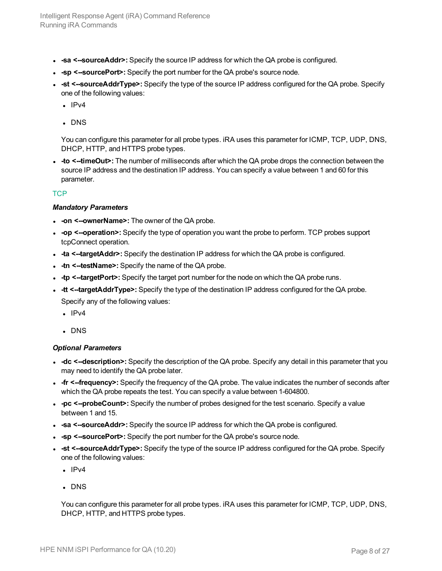- **sa <-sourceAddr>:** Specify the source IP address for which the QA probe is configured.
- -sp <-sourcePort>: Specify the port number for the QA probe's source node.
- <sup>l</sup> **-st <--sourceAddrType>:** Specify the type of the source IP address configured for the QA probe. Specify one of the following values:
	- $\cdot$  IPv4
	- . DNS

<sup>l</sup> **-to <--timeOut>:** The number of milliseconds after which the QA probe drops the connection between the source IP address and the destination IP address. You can specify a value between 1 and 60 for this parameter.

#### **TCP**

#### *Mandatory Parameters*

- **.** -on <--ownerName>: The owner of the QA probe.
- <sup>l</sup> **-op <--operation>:** Specify the type of operation you want the probe to perform. TCP probes support tcpConnect operation.
- <sup>l</sup> **-ta <--targetAddr>:** Specify the destination IP address for which the QA probe is configured.
- **-tn <--testName>:** Specify the name of the QA probe.
- **tp <--targetPort>:** Specify the target port number for the node on which the QA probe runs.
- **-tt <--targetAddrType>:** Specify the type of the destination IP address configured for the QA probe. Specify any of the following values:
	- $\cdot$  IPv4
	- . DNS

#### *Optional Parameters*

- **-dc**  $\le$ -**description>**: Specify the description of the QA probe. Specify any detail in this parameter that you may need to identify the QA probe later.
- **fr <--frequency>:** Specify the frequency of the QA probe. The value indicates the number of seconds after which the QA probe repeats the test. You can specify a value between 1-604800.
- -pc <--probeCount>: Specify the number of probes designed for the test scenario. Specify a value between 1 and 15.
- **sa <--sourceAddr>:** Specify the source IP address for which the QA probe is configured.
- **sp <--sourcePort>:** Specify the port number for the QA probe's source node.
- **st <--sourceAddrType>:** Specify the type of the source IP address configured for the QA probe. Specify one of the following values:
	- $\cdot$  IPv4
	- . DNS

You can configure this parameter for all probe types. iRA uses this parameter for ICMP, TCP, UDP, DNS, DHCP, HTTP, and HTTPS probe types.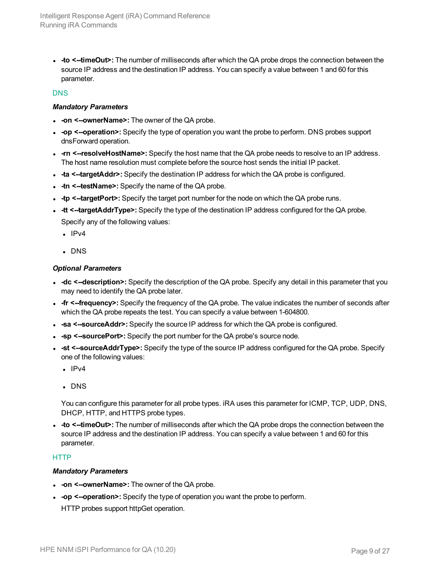<sup>l</sup> **-to <--timeOut>:** The number of milliseconds after which the QA probe drops the connection between the source IP address and the destination IP address. You can specify a value between 1 and 60 for this parameter.

#### DNS

#### *Mandatory Parameters*

- **.** -on **<--ownerName>:** The owner of the QA probe.
- <sup>l</sup> **-op <--operation>:** Specify the type of operation you want the probe to perform. DNS probes support dnsForward operation.
- **-rn** <--resolveHostName>: Specify the host name that the QA probe needs to resolve to an IP address. The host name resolution must complete before the source host sends the initial IP packet.
- <sup>l</sup> **-ta <--targetAddr>:** Specify the destination IP address for which the QA probe is configured.
- **-tn <--testName>:** Specify the name of the QA probe.
- - tp <--targetPort>: Specify the target port number for the node on which the QA probe runs.
- **-tt <--targetAddrType>:** Specify the type of the destination IP address configured for the QA probe. Specify any of the following values:
	- $\cdot$  IPv4
	- $\cdot$  DNS

#### *Optional Parameters*

- **-dc** <--description>: Specify the description of the QA probe. Specify any detail in this parameter that you may need to identify the QA probe later.
- **fr <--frequency>:** Specify the frequency of the QA probe. The value indicates the number of seconds after which the QA probe repeats the test. You can specify a value between 1-604800.
- **sa <--sourceAddr>:** Specify the source IP address for which the QA probe is configured.
- **sp <-sourcePort>:** Specify the port number for the QA probe's source node.
- **st <--sourceAddrType>:** Specify the type of the source IP address configured for the QA probe. Specify one of the following values:
	- $\cdot$  IPv4
	- . DNS

You can configure this parameter for all probe types. iRA uses this parameter for ICMP, TCP, UDP, DNS, DHCP, HTTP, and HTTPS probe types.

• - to <--timeOut>: The number of milliseconds after which the QA probe drops the connection between the source IP address and the destination IP address. You can specify a value between 1 and 60 for this parameter.

#### **HTTP**

#### *Mandatory Parameters*

- **.** -on <--ownerName>: The owner of the QA probe.
- <sup>l</sup> **-op <--operation>:** Specify the type of operation you want the probe to perform.
- HTTP probes support httpGet operation.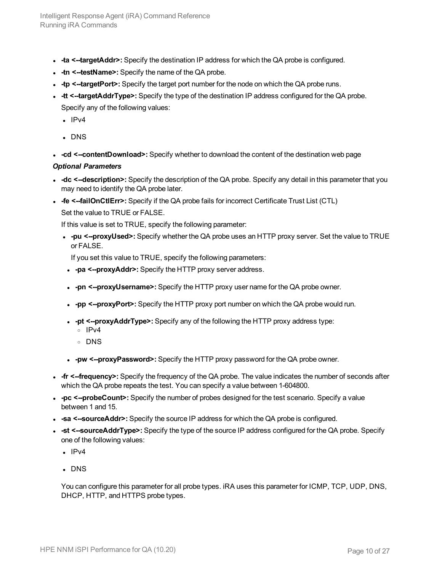- **ta <--targetAddr>:** Specify the destination IP address for which the QA probe is configured.
- **-tn <--testName>:** Specify the name of the QA probe.
- **-tp <--targetPort>:** Specify the target port number for the node on which the QA probe runs.
- **-tt <--targetAddrType>:** Specify the type of the destination IP address configured for the QA probe. Specify any of the following values:
	- $\cdot$  IPv4
	- $\cdot$  DNS
- -cd <--contentDownload>: Specify whether to download the content of the destination web page

#### *Optional Parameters*

- **-dc** <--description>: Specify the description of the QA probe. Specify any detail in this parameter that you may need to identify the QA probe later.
- **.** -fe <--failOnCtlErr>: Specify if the QA probe fails for incorrect Certificate Trust List (CTL)
	- Set the value to TRUE or FALSE.

If this value is set to TRUE, specify the following parameter:

**.** -pu <--proxyUsed>: Specify whether the QA probe uses an HTTP proxy server. Set the value to TRUE or FALSE.

If you set this value to TRUE, specify the following parameters:

- <sup>l</sup> **-pa <--proxyAddr>:** Specify the HTTP proxy server address.
- <sup>l</sup> **-pn <--proxyUsername>:** Specify the HTTP proxy user name for the QA probe owner.
- **pp <--proxyPort>:** Specify the HTTP proxy port number on which the QA probe would run.
- **pt <--proxyAddrType>:** Specify any of the following the HTTP proxy address type:
	- <sup>o</sup> IPv4
	- <sup>o</sup> DNS
- <sup>l</sup> **-pw <--proxyPassword>:** Specify the HTTP proxy password for the QA probe owner.
- **fr <--frequency>:** Specify the frequency of the QA probe. The value indicates the number of seconds after which the QA probe repeats the test. You can specify a value between 1-604800.
- -pc <--probeCount>: Specify the number of probes designed for the test scenario. Specify a value between 1 and 15.
- **sa <-sourceAddr>:** Specify the source IP address for which the QA probe is configured.
- **st <--sourceAddrType>:** Specify the type of the source IP address configured for the QA probe. Specify one of the following values:
	- $\cdot$  IPv4
	- . DNS

You can configure this parameter for all probe types. iRA uses this parameter for ICMP, TCP, UDP, DNS, DHCP, HTTP, and HTTPS probe types.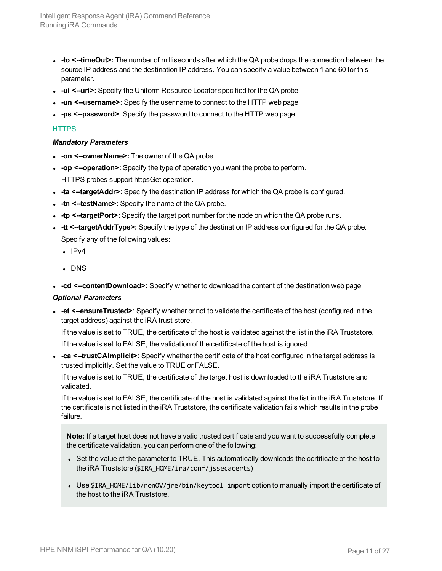- <sup>l</sup> **-to <--timeOut>:** The number of milliseconds after which the QA probe drops the connection between the source IP address and the destination IP address. You can specify a value between 1 and 60 for this parameter.
- **ui <--uri>:** Specify the Uniform Resource Locator specified for the QA probe
- **un <--username>**: Specify the user name to connect to the HTTP web page
- <sup>l</sup> **-ps <--password>**: Specify the password to connect to the HTTP web page

#### **HTTPS**

#### *Mandatory Parameters*

- **.** -on **<--ownerName>**: The owner of the QA probe.
- <sup>l</sup> **-op <--operation>:** Specify the type of operation you want the probe to perform. HTTPS probes support httpsGet operation.
- <sup>l</sup> **-ta <--targetAddr>:** Specify the destination IP address for which the QA probe is configured.
- **-tn <--testName>:** Specify the name of the QA probe.
- - tp <--targetPort>: Specify the target port number for the node on which the QA probe runs.
- **-tt <--targetAddrType>:** Specify the type of the destination IP address configured for the QA probe. Specify any of the following values:
	- $\cdot$  IPv4
	- $\cdot$  DNS
- -cd <--contentDownload>: Specify whether to download the content of the destination web page

#### *Optional Parameters*

**- et <--ensureTrusted>**: Specify whether or not to validate the certificate of the host (configured in the target address) against the iRA trust store.

If the value is set to TRUE, the certificate of the host is validated against the list in the iRA Truststore.

If the value is set to FALSE, the validation of the certificate of the host is ignored.

<sup>l</sup> **-ca <--trustCAImplicit>**: Specify whether the certificate of the host configured in the target address is trusted implicitly. Set the value to TRUE or FALSE.

If the value is set to TRUE, the certificate of the target host is downloaded to the iRA Truststore and validated.

If the value is set to FALSE, the certificate of the host is validated against the list in the iRA Truststore. If the certificate is not listed in the iRA Truststore, the certificate validation fails which results in the probe failure.

**Note:** If a target host does not have a valid trusted certificate and you want to successfully complete the certificate validation, you can perform one of the following:

- Set the value of the parameter to TRUE. This automatically downloads the certificate of the host to the iRA Truststore (\$IRA\_HOME/ira/conf/jssecacerts)
- Use \$IRA HOME/lib/nonOV/jre/bin/keytool import option to manually import the certificate of the host to the iRA Truststore.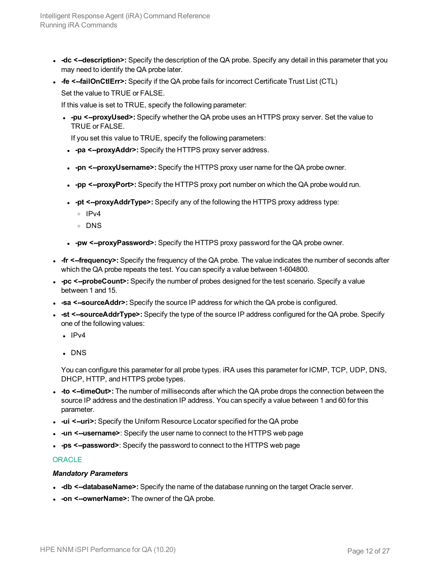- **-dc**  $\le$ -**description>**: Specify the description of the QA probe. Specify any detail in this parameter that you may need to identify the QA probe later.
- <sup>l</sup> **-fe <--failOnCtlErr>:** Specify if the QA probe fails for incorrect Certificate Trust List (CTL)
	- Set the value to TRUE or FALSE.

If this value is set to TRUE, specify the following parameter:

<sup>l</sup> **-pu <--proxyUsed>:** Specify whether the QA probe uses an HTTPS proxy server. Set the value to TRUE or FALSE.

If you set this value to TRUE, specify the following parameters:

- <sup>l</sup> **-pa <--proxyAddr>:** Specify the HTTPS proxy server address.
- **.** -pn <--proxyUsername>: Specify the HTTPS proxy user name for the QA probe owner.
- -pp <--proxyPort>: Specify the HTTPS proxy port number on which the QA probe would run.
- **pt <--proxyAddrType>:** Specify any of the following the HTTPS proxy address type:
	- <sup>o</sup> IPv4
	- <sup>o</sup> DNS
- <sup>l</sup> **-pw <--proxyPassword>:** Specify the HTTPS proxy password for the QA probe owner.
- **fr <--frequency>:** Specify the frequency of the QA probe. The value indicates the number of seconds after which the QA probe repeats the test. You can specify a value between 1-604800.
- -pc <--probeCount>: Specify the number of probes designed for the test scenario. Specify a value between 1 and 15.
- **sa <-sourceAddr>:** Specify the source IP address for which the QA probe is configured.
- <sup>l</sup> **-st <--sourceAddrType>:** Specify the type of the source IP address configured for the QA probe. Specify one of the following values:
	- $\cdot$  IPv4
	- . DNS

You can configure this parameter for all probe types. iRA uses this parameter for ICMP, TCP, UDP, DNS, DHCP, HTTP, and HTTPS probe types.

- -to <--timeOut>: The number of milliseconds after which the QA probe drops the connection between the source IP address and the destination IP address. You can specify a value between 1 and 60 for this parameter.
- **ui <--uri>:** Specify the Uniform Resource Locator specified for the QA probe
- <sup>l</sup> **-un <--username>**: Specify the user name to connect to the HTTPS web page
- <sup>l</sup> **-ps <--password>**: Specify the password to connect to the HTTPS web page

#### **ORACLE**

#### *Mandatory Parameters*

- **-db <--databaseName>:** Specify the name of the database running on the target Oracle server.
- **.** -on **<--ownerName>:** The owner of the QA probe.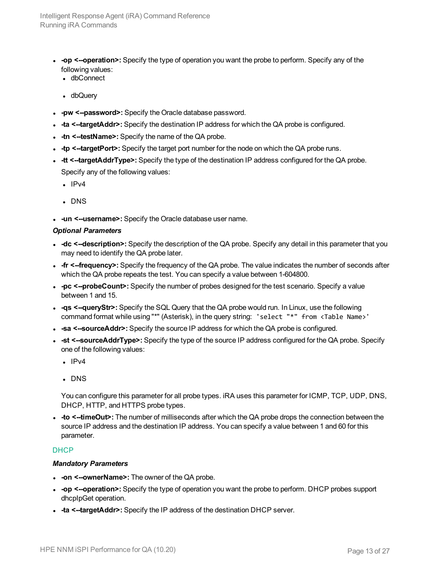- <sup>l</sup> **-op <--operation>:** Specify the type of operation you want the probe to perform. Specify any of the following values:
	- dbConnect
	- dbQuery
- **.** -pw <--password>: Specify the Oracle database password.
- **ta <--targetAddr>:** Specify the destination IP address for which the QA probe is configured.
- **-tn <--testName>:** Specify the name of the QA probe.
- **tp <--targetPort>:** Specify the target port number for the node on which the QA probe runs.
- **-tt <--targetAddrType>:** Specify the type of the destination IP address configured for the QA probe. Specify any of the following values:
	- $\cdot$  IPv4
	- . DNS
- **.** -un <--username>: Specify the Oracle database user name.

#### *Optional Parameters*

- **-dc** <--description>: Specify the description of the QA probe. Specify any detail in this parameter that you may need to identify the QA probe later.
- **fr <--frequency>:** Specify the frequency of the QA probe. The value indicates the number of seconds after which the QA probe repeats the test. You can specify a value between 1-604800.
- -pc <--probeCount>: Specify the number of probes designed for the test scenario. Specify a value between 1 and 15.
- - qs <--queryStr>: Specify the SQL Query that the QA probe would run. In Linux, use the following command format while using "\*" (Asterisk), in the query string: 'select "\*" from <Table Name>'
- **sa <--sourceAddr>:** Specify the source IP address for which the QA probe is configured.
- **st <--sourceAddrType>:** Specify the type of the source IP address configured for the QA probe. Specify one of the following values:
	- $\cdot$  IPv4
	- $\cdot$  DNS

You can configure this parameter for all probe types. iRA uses this parameter for ICMP, TCP, UDP, DNS, DHCP, HTTP, and HTTPS probe types.

<sup>l</sup> **-to <--timeOut>:** The number of milliseconds after which the QA probe drops the connection between the source IP address and the destination IP address. You can specify a value between 1 and 60 for this parameter.

#### DHCP

#### *Mandatory Parameters*

- **.** -on **<--ownerName>**: The owner of the QA probe.
- <sup>l</sup> **-op <--operation>:** Specify the type of operation you want the probe to perform. DHCP probes support dhcpIpGet operation.
- **ta** <--targetAddr>: Specify the IP address of the destination DHCP server.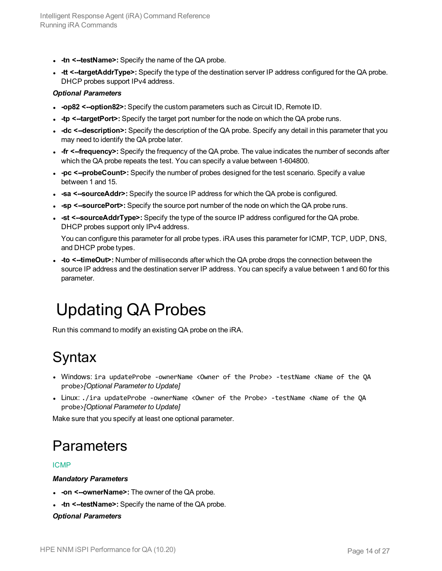- **-tn <--testName>:** Specify the name of the QA probe.
- **-tt <--targetAddrType>:** Specify the type of the destination server IP address configured for the QA probe. DHCP probes support IPv4 address.

#### *Optional Parameters*

- **-op82 <--option82>:** Specify the custom parameters such as Circuit ID, Remote ID.
- - tp <--targetPort>: Specify the target port number for the node on which the QA probe runs.
- **-dc** <--description>: Specify the description of the QA probe. Specify any detail in this parameter that you may need to identify the QA probe later.
- **fr <--frequency>:** Specify the frequency of the QA probe. The value indicates the number of seconds after which the QA probe repeats the test. You can specify a value between 1-604800.
- -pc <--probeCount>: Specify the number of probes designed for the test scenario. Specify a value between 1 and 15.
- **sa <--sourceAddr>:** Specify the source IP address for which the QA probe is configured.
- **-**  $\text{-sp}$  <--sourcePort>: Specify the source port number of the node on which the QA probe runs.
- <sup>l</sup> **-st <--sourceAddrType>:** Specify the type of the source IP address configured for the QA probe. DHCP probes support only IPv4 address.

You can configure this parameter for all probe types. iRA uses this parameter for ICMP, TCP, UDP, DNS, and DHCP probe types.

• -to <--timeOut>: Number of milliseconds after which the QA probe drops the connection between the source IP address and the destination server IP address. You can specify a value between 1 and 60 for this parameter.

## <span id="page-13-0"></span>Updating QA Probes

<span id="page-13-1"></span>Run this command to modify an existing QA probe on the iRA.

### **Syntax**

- <sup>l</sup> Windows: ira updateProbe -ownerName <Owner of the Probe> -testName <Name of the QA probe>*[Optional Parameter to Update]*
- Linux: ./ira updateProbe -ownerName <Owner of the Probe> -testName <Name of the OA probe>*[Optional Parameter to Update]*

<span id="page-13-2"></span>Make sure that you specify at least one optional parameter.

### **Parameters**

#### ICMP

#### *Mandatory Parameters*

- **.** -on **<--ownerName>:** The owner of the QA probe.
- **-tn <--testName>:** Specify the name of the QA probe.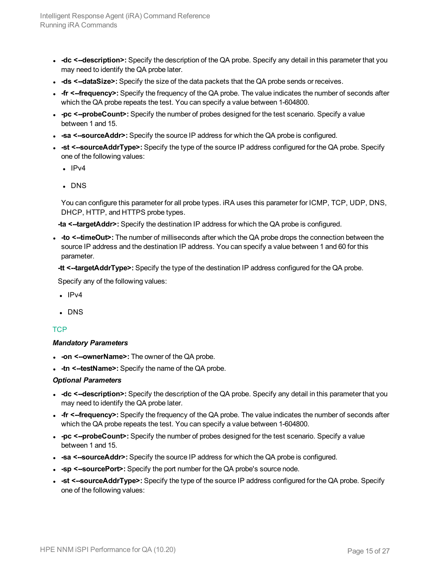- **-dc**  $\le$ -**description>**: Specify the description of the QA probe. Specify any detail in this parameter that you may need to identify the QA probe later.
- **ds <--dataSize>:** Specify the size of the data packets that the QA probe sends or receives.
- **fr <--frequency>:** Specify the frequency of the QA probe. The value indicates the number of seconds after which the QA probe repeats the test. You can specify a value between 1-604800.
- -pc <--probeCount>: Specify the number of probes designed for the test scenario. Specify a value between 1 and 15.
- **sa <--sourceAddr>:** Specify the source IP address for which the QA probe is configured.
- <sup>l</sup> **-st <--sourceAddrType>:** Specify the type of the source IP address configured for the QA probe. Specify one of the following values:
	- $\cdot$  IPv4
	- . DNS

**-ta <--targetAddr>:** Specify the destination IP address for which the QA probe is configured.

<sup>l</sup> **-to <--timeOut>:** The number of milliseconds after which the QA probe drops the connection between the source IP address and the destination IP address. You can specify a value between 1 and 60 for this parameter.

**-tt <--targetAddrType>:** Specify the type of the destination IP address configured for the QA probe.

Specify any of the following values:

- $\cdot$  IPv4
- $\cdot$  DNS

#### **TCP**

#### *Mandatory Parameters*

- **on <--ownerName>:** The owner of the QA probe.
- **-tn <--testName>:** Specify the name of the QA probe.

- **-dc**  $\le$ -**description>**: Specify the description of the QA probe. Specify any detail in this parameter that you may need to identify the QA probe later.
- **fr <--frequency>:** Specify the frequency of the QA probe. The value indicates the number of seconds after which the QA probe repeats the test. You can specify a value between 1-604800.
- -pc <--probeCount>: Specify the number of probes designed for the test scenario. Specify a value between 1 and 15.
- **sa <--sourceAddr>:** Specify the source IP address for which the QA probe is configured.
- **sp <-sourcePort>:** Specify the port number for the QA probe's source node.
- **st <--sourceAddrType>:** Specify the type of the source IP address configured for the QA probe. Specify one of the following values: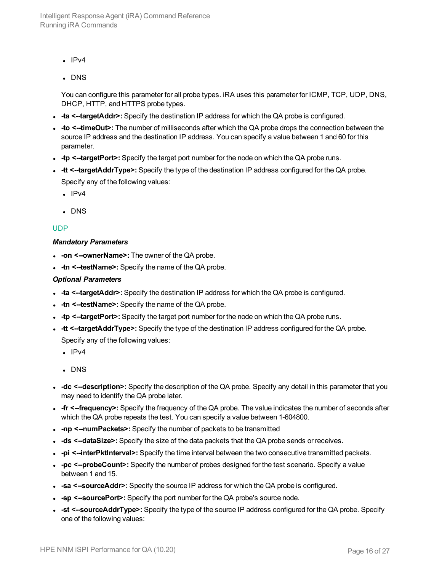- $\cdot$  IPv4
- $\cdot$  DNS

- **ta <--targetAddr>:** Specify the destination IP address for which the QA probe is configured.
- <sup>l</sup> **-to <--timeOut>:** The number of milliseconds after which the QA probe drops the connection between the source IP address and the destination IP address. You can specify a value between 1 and 60 for this parameter.
- **tp <--targetPort>:** Specify the target port number for the node on which the QA probe runs.
- **-tt <--targetAddrType>:** Specify the type of the destination IP address configured for the QA probe. Specify any of the following values:
	- $\cdot$  IPv4
	- $\cdot$  DNS

#### UDP

#### *Mandatory Parameters*

- **-on <--ownerName>:** The owner of the QA probe.
- **-tn <--testName>:** Specify the name of the QA probe.

- - ta <--targetAddr>: Specify the destination IP address for which the QA probe is configured.
- **-tn <--testName>:** Specify the name of the QA probe.
- - tp <--targetPort>: Specify the target port number for the node on which the QA probe runs.
- **-tt <--targetAddrType>:** Specify the type of the destination IP address configured for the QA probe. Specify any of the following values:
	- $\cdot$  IPv4
	- . DNS
- **-dc** <--description>: Specify the description of the QA probe. Specify any detail in this parameter that you may need to identify the QA probe later.
- **fr <--frequency>:** Specify the frequency of the QA probe. The value indicates the number of seconds after which the QA probe repeats the test. You can specify a value between 1-604800.
- <sup>l</sup> **-np <--numPackets>:** Specify the number of packets to be transmitted
- **ds <--dataSize>:** Specify the size of the data packets that the QA probe sends or receives.
- <sup>l</sup> **-pi <--interPktInterval>:** Specify the time interval between the two consecutive transmitted packets.
- -pc <--probeCount>: Specify the number of probes designed for the test scenario. Specify a value between 1 and 15.
- **sa <--sourceAddr>:** Specify the source IP address for which the QA probe is configured.
- **sp <--sourcePort>:** Specify the port number for the QA probe's source node.
- **st <--sourceAddrType>:** Specify the type of the source IP address configured for the QA probe. Specify one of the following values: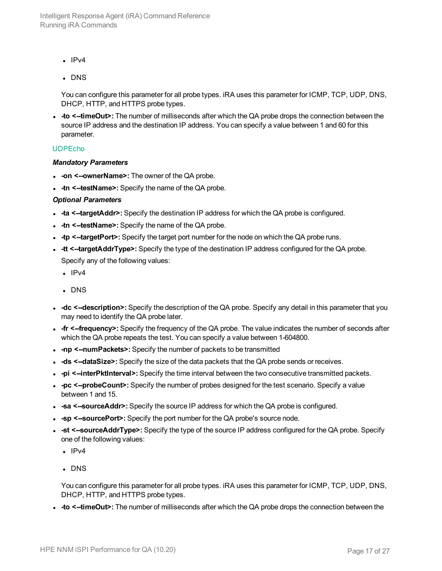- $\cdot$  IPv4
- $\cdot$  DNS

<sup>l</sup> **-to <--timeOut>:** The number of milliseconds after which the QA probe drops the connection between the source IP address and the destination IP address. You can specify a value between 1 and 60 for this parameter.

#### UDPEcho

#### *Mandatory Parameters*

- **.** -on **<--ownerName>:** The owner of the QA probe.
- **-tn <--testName>:** Specify the name of the QA probe.

#### *Optional Parameters*

- **ta** <--targetAddr>: Specify the destination IP address for which the QA probe is configured.
- **-tn <--testName>:** Specify the name of the QA probe.
- **tp <--targetPort>:** Specify the target port number for the node on which the QA probe runs.
- **-tt <--targetAddrType>:** Specify the type of the destination IP address configured for the QA probe. Specify any of the following values:
	- $\cdot$  IPv4
	- . DNS
- **-dc**  $\le$ -**description>**: Specify the description of the QA probe. Specify any detail in this parameter that you may need to identify the QA probe later.
- **fr <--frequency>:** Specify the frequency of the QA probe. The value indicates the number of seconds after which the QA probe repeats the test. You can specify a value between 1-604800.
- <sup>l</sup> **-np <--numPackets>:** Specify the number of packets to be transmitted
- **ds <--dataSize>:** Specify the size of the data packets that the QA probe sends or receives.
- <sup>l</sup> **-pi <--interPktInterval>:** Specify the time interval between the two consecutive transmitted packets.
- -pc <--probeCount>: Specify the number of probes designed for the test scenario. Specify a value between 1 and 15.
- **sa** <--sourceAddr>: Specify the source IP address for which the QA probe is configured.
- **sp <--sourcePort>:** Specify the port number for the QA probe's source node.
- **st <--sourceAddrType>:** Specify the type of the source IP address configured for the QA probe. Specify one of the following values:
	- $\cdot$  IPv4
	- . DNS

You can configure this parameter for all probe types. iRA uses this parameter for ICMP, TCP, UDP, DNS, DHCP, HTTP, and HTTPS probe types.

• - to <--timeOut>: The number of milliseconds after which the QA probe drops the connection between the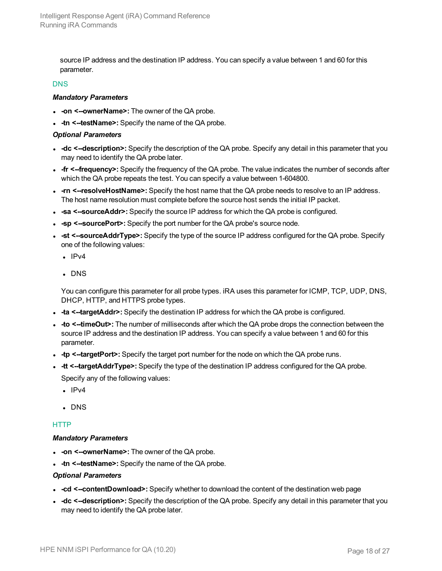source IP address and the destination IP address. You can specify a value between 1 and 60 for this parameter.

#### **DNS**

#### *Mandatory Parameters*

- **on <--ownerName>:** The owner of the QA probe.
- **-tn <--testName>:** Specify the name of the QA probe.

#### *Optional Parameters*

- **-dc**  $\le$ -**description>**: Specify the description of the QA probe. Specify any detail in this parameter that you may need to identify the QA probe later.
- **fr <--frequency>:** Specify the frequency of the QA probe. The value indicates the number of seconds after which the QA probe repeats the test. You can specify a value between 1-604800.
- **-rn** <--resolveHostName>: Specify the host name that the QA probe needs to resolve to an IP address. The host name resolution must complete before the source host sends the initial IP packet.
- **sa <--sourceAddr>:** Specify the source IP address for which the QA probe is configured.
- -sp <-sourcePort>: Specify the port number for the QA probe's source node.
- <sup>l</sup> **-st <--sourceAddrType>:** Specify the type of the source IP address configured for the QA probe. Specify one of the following values:
	- $\cdot$  IPv4
	- . DNS

You can configure this parameter for all probe types. iRA uses this parameter for ICMP, TCP, UDP, DNS, DHCP, HTTP, and HTTPS probe types.

- **ta** <--targetAddr>: Specify the destination IP address for which the QA probe is configured.
- - to <--timeOut>: The number of milliseconds after which the QA probe drops the connection between the source IP address and the destination IP address. You can specify a value between 1 and 60 for this parameter.
- **tp <--targetPort>:** Specify the target port number for the node on which the QA probe runs.
- **-tt <--targetAddrType>:** Specify the type of the destination IP address configured for the QA probe. Specify any of the following values:
	- $\cdot$  IPv4
	- $\cdot$  DNS

#### **HTTP**

#### *Mandatory Parameters*

- **on <--ownerName>:** The owner of the QA probe.
- **-tn <--testName>:** Specify the name of the QA probe.

- -cd <--contentDownload>: Specify whether to download the content of the destination web page
- **-dc** <--description>: Specify the description of the QA probe. Specify any detail in this parameter that you may need to identify the QA probe later.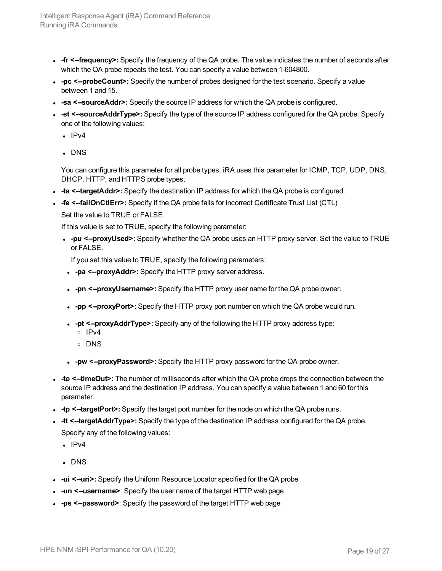- **fr <--frequency>:** Specify the frequency of the QA probe. The value indicates the number of seconds after which the QA probe repeats the test. You can specify a value between 1-604800.
- -pc  $\leq$ --probeCount>: Specify the number of probes designed for the test scenario. Specify a value between 1 and 15.
- **sa <--sourceAddr>:** Specify the source IP address for which the QA probe is configured.
- <sup>l</sup> **-st <--sourceAddrType>:** Specify the type of the source IP address configured for the QA probe. Specify one of the following values:
	- $\cdot$  IPv4
	- . DNS

- <sup>l</sup> **-ta <--targetAddr>:** Specify the destination IP address for which the QA probe is configured.
- <sup>l</sup> **-fe <--failOnCtlErr>:** Specify if the QA probe fails for incorrect Certificate Trust List (CTL) Set the value to TRUE or FALSE.

If this value is set to TRUE, specify the following parameter:

<sup>l</sup> **-pu <--proxyUsed>:** Specify whether the QA probe uses an HTTP proxy server. Set the value to TRUE or FALSE.

If you set this value to TRUE, specify the following parameters:

- **pa** <--proxyAddr>: Specify the HTTP proxy server address.
- <sup>l</sup> **-pn <--proxyUsername>:** Specify the HTTP proxy user name for the QA probe owner.
- **pp <--proxyPort>:** Specify the HTTP proxy port number on which the QA probe would run.
- **pt <--proxyAddrType>:** Specify any of the following the HTTP proxy address type:
	- <sup>o</sup> IPv4
	- <sup>o</sup> DNS
- <sup>l</sup> **-pw <--proxyPassword>:** Specify the HTTP proxy password for the QA probe owner.
- **to**  $\le$ -timeOut>: The number of milliseconds after which the QA probe drops the connection between the source IP address and the destination IP address. You can specify a value between 1 and 60 for this parameter.
- **tp <--targetPort>:** Specify the target port number for the node on which the QA probe runs.
- **-tt <--targetAddrType>:** Specify the type of the destination IP address configured for the QA probe. Specify any of the following values:
	- $\cdot$  IPv4
	- . DNS
- **ui <--uri>:** Specify the Uniform Resource Locator specified for the QA probe
- **un <--username>**: Specify the user name of the target HTTP web page
- - ps <--password>: Specify the password of the target HTTP web page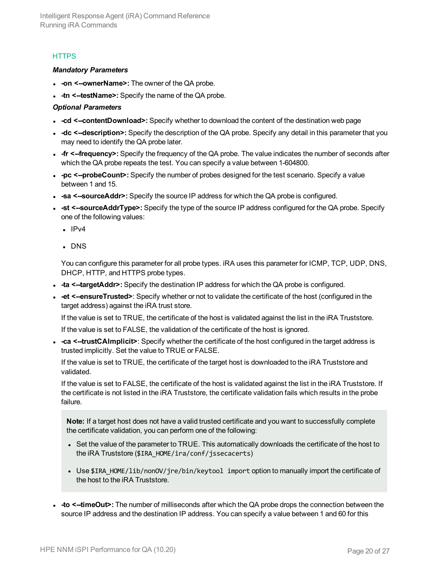#### **HTTPS**

#### *Mandatory Parameters*

- **on <--ownerName>:** The owner of the QA probe.
- **-tn <--testName>:** Specify the name of the QA probe.

#### *Optional Parameters*

- -cd <--contentDownload>: Specify whether to download the content of the destination web page
- **-dc**  $\le$ -**description>**: Specify the description of the QA probe. Specify any detail in this parameter that you may need to identify the QA probe later.
- **fr <--frequency>:** Specify the frequency of the QA probe. The value indicates the number of seconds after which the QA probe repeats the test. You can specify a value between 1-604800.
- -pc <--probeCount>: Specify the number of probes designed for the test scenario. Specify a value between 1 and 15.
- **sa <-sourceAddr>:** Specify the source IP address for which the QA probe is configured.
- **st <--sourceAddrType>:** Specify the type of the source IP address configured for the QA probe. Specify one of the following values:
	- $\cdot$  IPv4
	- . DNS

You can configure this parameter for all probe types. iRA uses this parameter for ICMP, TCP, UDP, DNS, DHCP, HTTP, and HTTPS probe types.

- **ta** <--targetAddr>: Specify the destination IP address for which the QA probe is configured.
- <sup>l</sup> **-et <--ensureTrusted>**: Specify whether or not to validate the certificate of the host (configured in the target address) against the iRA trust store.

If the value is set to TRUE, the certificate of the host is validated against the list in the iRA Truststore.

If the value is set to FALSE, the validation of the certificate of the host is ignored.

**-ca <--trustCAImplicit>**: Specify whether the certificate of the host configured in the target address is trusted implicitly. Set the value to TRUE or FALSE.

If the value is set to TRUE, the certificate of the target host is downloaded to the iRA Truststore and validated.

If the value is set to FALSE, the certificate of the host is validated against the list in the iRA Truststore. If the certificate is not listed in the iRA Truststore, the certificate validation fails which results in the probe failure.

**Note:** If a target host does not have a valid trusted certificate and you want to successfully complete the certificate validation, you can perform one of the following:

- Set the value of the parameter to TRUE. This automatically downloads the certificate of the host to the iRA Truststore (\$IRA\_HOME/ira/conf/jssecacerts)
- Use \$IRA\_HOME/lib/nonOV/jre/bin/keytool import option to manually import the certificate of the host to the iRA Truststore.
- - to <--timeOut>: The number of milliseconds after which the QA probe drops the connection between the source IP address and the destination IP address. You can specify a value between 1 and 60 for this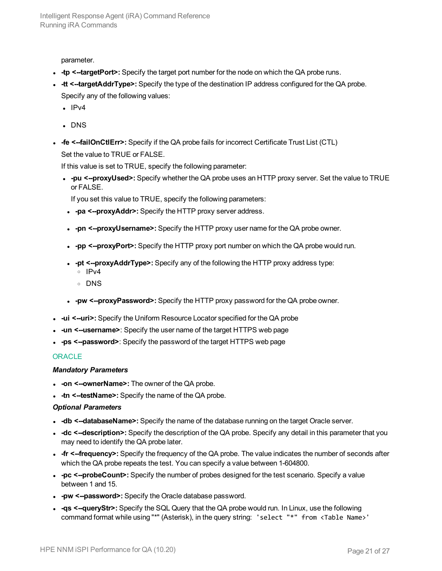parameter.

- **tp <--targetPort>:** Specify the target port number for the node on which the QA probe runs.
- **-tt <--targetAddrType>:** Specify the type of the destination IP address configured for the QA probe. Specify any of the following values:
	- $\cdot$  IPv4
	- . DNS
- **.** -fe <--failOnCtlErr>: Specify if the QA probe fails for incorrect Certificate Trust List (CTL) Set the value to TRUE or FALSE.

If this value is set to TRUE, specify the following parameter:

<sup>l</sup> **-pu <--proxyUsed>:** Specify whether the QA probe uses an HTTP proxy server. Set the value to TRUE or FALSE.

If you set this value to TRUE, specify the following parameters:

- **.** -pa **<--proxyAddr>:** Specify the HTTP proxy server address.
- <sup>l</sup> **-pn <--proxyUsername>:** Specify the HTTP proxy user name for the QA probe owner.
- **pp <--proxyPort>:** Specify the HTTP proxy port number on which the QA probe would run.
- <sup>l</sup> **-pt <--proxyAddrType>:** Specify any of the following the HTTP proxy address type:
	- <sup>o</sup> IPv4
	- <sup>o</sup> DNS
- <sup>l</sup> **-pw <--proxyPassword>:** Specify the HTTP proxy password for the QA probe owner.
- **ui <--uri>:** Specify the Uniform Resource Locator specified for the QA probe
- **un <--username>**: Specify the user name of the target HTTPS web page
- <sup>l</sup> **-ps <--password>**: Specify the password of the target HTTPS web page

#### **ORACLE**

#### *Mandatory Parameters*

- **on <--ownerName>:** The owner of the QA probe.
- **-tn <--testName>:** Specify the name of the QA probe.

- **-db** <--databaseName>: Specify the name of the database running on the target Oracle server.
- **-dc**  $\le$ -**description>**: Specify the description of the QA probe. Specify any detail in this parameter that you may need to identify the QA probe later.
- **fr <--frequency>:** Specify the frequency of the QA probe. The value indicates the number of seconds after which the QA probe repeats the test. You can specify a value between 1-604800.
- -pc <--probeCount>: Specify the number of probes designed for the test scenario. Specify a value between 1 and 15.
- **.** -pw <--password>: Specify the Oracle database password.
- - qs <--queryStr>: Specify the SQL Query that the QA probe would run. In Linux, use the following command format while using "\*" (Asterisk), in the query string: 'select "\*" from <Table Name>'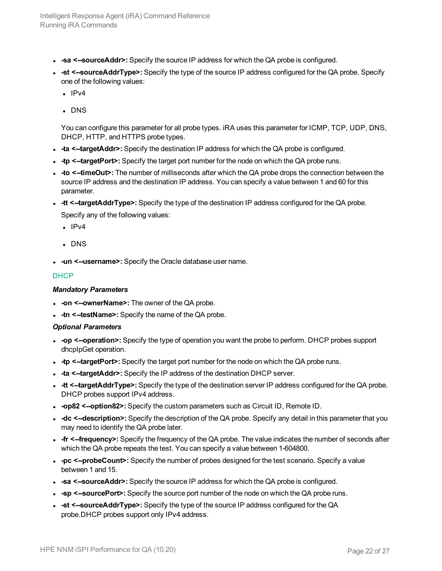- **sa <-sourceAddr>:** Specify the source IP address for which the QA probe is configured.
- <sup>l</sup> **-st <--sourceAddrType>:** Specify the type of the source IP address configured for the QA probe. Specify one of the following values:
	- $\cdot$  IPv4
	- . DNS

- **ta** <--targetAddr>: Specify the destination IP address for which the QA probe is configured.
- **tp <--targetPort>:** Specify the target port number for the node on which the QA probe runs.
- **to**  $\le$ -timeOut>: The number of milliseconds after which the QA probe drops the connection between the source IP address and the destination IP address. You can specify a value between 1 and 60 for this parameter.
- **-tt <--targetAddrType>:** Specify the type of the destination IP address configured for the QA probe. Specify any of the following values:
	- $\cdot$  IPv4
	- . DNS
- **un <--username>:** Specify the Oracle database user name.

#### **DHCP**

#### *Mandatory Parameters*

- **on <--ownerName>:** The owner of the QA probe.
- **-tn <--testName>:** Specify the name of the QA probe.

- -op <--operation>: Specify the type of operation you want the probe to perform. DHCP probes support dhcpIpGet operation.
- **tp <--targetPort>:** Specify the target port number for the node on which the QA probe runs.
- **ta** <--targetAddr>: Specify the IP address of the destination DHCP server.
- **-tt <--targetAddrType>:** Specify the type of the destination server IP address configured for the QA probe. DHCP probes support IPv4 address.
- <sup>l</sup> **-op82 <--option82>:** Specify the custom parameters such as Circuit ID, Remote ID.
- **-dc**  $\le$ -**description>**: Specify the description of the QA probe. Specify any detail in this parameter that you may need to identify the QA probe later.
- **fr <--frequency>:** Specify the frequency of the QA probe. The value indicates the number of seconds after which the QA probe repeats the test. You can specify a value between 1-604800.
- -pc <--probeCount>: Specify the number of probes designed for the test scenario. Specify a value between 1 and 15.
- **sa <--sourceAddr>:** Specify the source IP address for which the QA probe is configured.
- **sp <-sourcePort>:** Specify the source port number of the node on which the QA probe runs.
- **-st <--sourceAddrType>:** Specify the type of the source IP address configured for the QA probe.DHCP probes support only IPv4 address.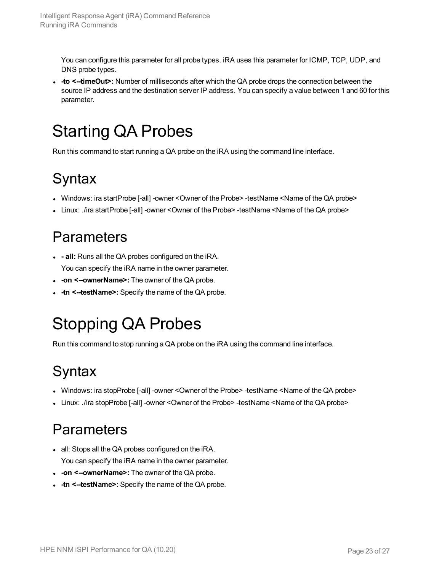• to  $\le$ -timeOut>: Number of milliseconds after which the QA probe drops the connection between the source IP address and the destination server IP address. You can specify a value between 1 and 60 for this parameter.

# <span id="page-22-0"></span>Starting QA Probes

<span id="page-22-1"></span>Run this command to start running a QA probe on the iRA using the command line interface.

## **Syntax**

- Windows: ira startProbe [-all] -owner <Owner of the Probe> -testName <Name of the QA probe>
- <span id="page-22-2"></span>- Linux: ./ira startProbe [-all] -owner <Owner of the Probe> -testName <Name of the QA probe>

### **Parameters**

- <sup>l</sup> **- all:** Runs all the QA probes configured on the iRA. You can specify the iRA name in the owner parameter.
- **on <--ownerName>:** The owner of the QA probe.
- <span id="page-22-3"></span>**-tn <--testName>:** Specify the name of the QA probe.

## Stopping QA Probes

<span id="page-22-4"></span>Run this command to stop running a QA probe on the iRA using the command line interface.

## **Syntax**

- Windows: ira stopProbe [-all] -owner <Owner of the Probe> -testName <Name of the QA probe>
- <span id="page-22-5"></span>• Linux: ./ira stopProbe [-all] -owner <Owner of the Probe> -testName <Name of the QA probe>

## **Parameters**

- all: Stops all the QA probes configured on the iRA. You can specify the iRA name in the owner parameter.
- **.** -on **<--ownerName>:** The owner of the QA probe.
- **-tn <--testName>:** Specify the name of the QA probe.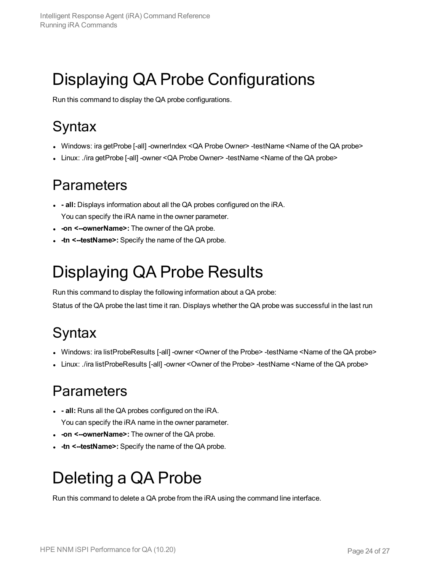# <span id="page-23-0"></span>Displaying QA Probe Configurations

<span id="page-23-1"></span>Run this command to display the QA probe configurations.

## **Syntax**

- Windows: ira getProbe [-all] -ownerIndex <QA Probe Owner> -testName <Name of the QA probe>
- <span id="page-23-2"></span>• Linux: ./ira getProbe [-all] -owner < QA Probe Owner> -testName < Name of the QA probe>

### **Parameters**

- **- all:** Displays information about all the QA probes configured on the iRA. You can specify the iRA name in the owner parameter.
- **-on <--ownerName>:** The owner of the QA probe.
- <span id="page-23-3"></span>**-tn <--testName>:** Specify the name of the QA probe.

## Displaying QA Probe Results

Run this command to display the following information about a QA probe:

<span id="page-23-4"></span>Status of the QA probe the last time it ran. Displays whether the QA probe was successful in the last run

## **Syntax**

- <sup>l</sup> Windows: ira listProbeResults [-all] -owner <Owner of the Probe> -testName <Name of the QA probe>
- <span id="page-23-5"></span>• Linux: ./ira listProbeResults [-all] -owner <Owner of the Probe> -testName <Name of the QA probe>

### **Parameters**

- <sup>l</sup> **- all:** Runs all the QA probes configured on the iRA. You can specify the iRA name in the owner parameter.
- **.** -on **<--ownerName>:** The owner of the QA probe.
- <span id="page-23-6"></span>**-tn <--testName>:** Specify the name of the QA probe.

## Deleting a QA Probe

Run this command to delete a QA probe from the iRA using the command line interface.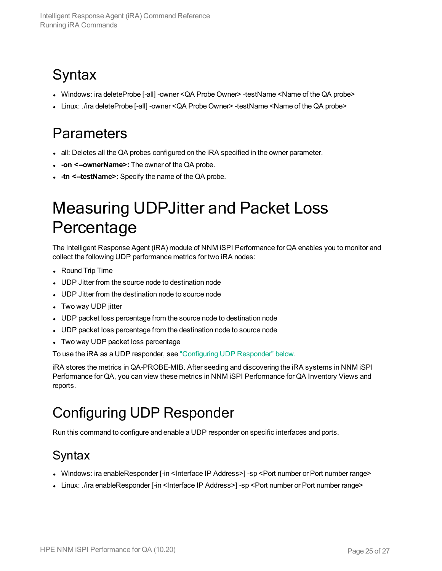## <span id="page-24-0"></span>**Syntax**

- Windows: ira deleteProbe [-all] -owner < QA Probe Owner> -testName <Name of the QA probe>
- <span id="page-24-1"></span>• Linux: ./ira deleteProbe [-all] -owner < QA Probe Owner> -testName <Name of the QA probe>

### **Parameters**

- all: Deletes all the QA probes configured on the iRA specified in the owner parameter.
- **-on <--ownerName>:** The owner of the QA probe.
- <span id="page-24-2"></span>**-tn <--testName>:** Specify the name of the QA probe.

## Measuring UDPJitter and Packet Loss **Percentage**

The Intelligent Response Agent (iRA) module of NNM iSPI Performance for QA enables you to monitor and collect the following UDP performance metrics for two iRA nodes:

- Round Trip Time
- UDP Jitter from the source node to destination node
- UDP Jitter from the destination node to source node
- Two way UDP jitter
- UDP packet loss percentage from the source node to destination node
- UDP packet loss percentage from the destination node to source node
- Two way UDP packet loss percentage

To use the iRA as a UDP responder, see "Configuring [UDP Responder"](#page-24-3) below.

iRA stores the metrics in QA-PROBE-MIB. After seeding and discovering the iRA systems in NNM iSPI Performance for QA, you can view these metrics in NNM iSPI Performance for QA Inventory Views and reports.

### <span id="page-24-3"></span>Configuring UDP Responder

<span id="page-24-4"></span>Run this command to configure and enable a UDP responder on specific interfaces and ports.

### Syntax

- Windows: ira enableResponder [-in <Interface IP Address>] -sp <Port number or Port number range>
- Linux: ./ira enableResponder [-in <Interface IP Address>] -sp <Port number or Port number range>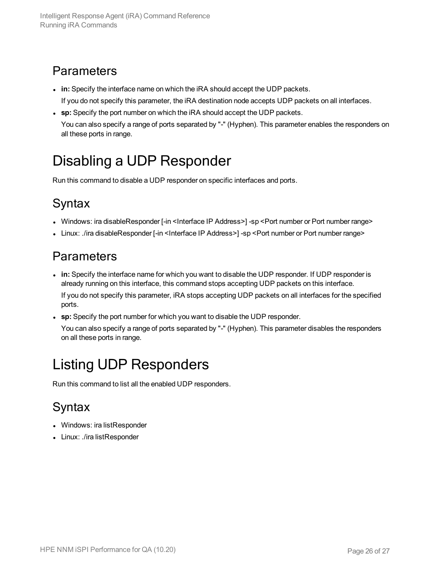### <span id="page-25-0"></span>**Parameters**

- **in:** Specify the interface name on which the iRA should accept the UDP packets.
	- If you do not specify this parameter, the iRA destination node accepts UDP packets on all interfaces.
- **sp:** Specify the port number on which the iRA should accept the UDP packets.

<span id="page-25-1"></span>You can also specify a range of ports separated by "-" (Hyphen). This parameter enables the responders on all these ports in range.

### Disabling a UDP Responder

<span id="page-25-2"></span>Run this command to disable a UDP responder on specific interfaces and ports.

### **Syntax**

- Windows: ira disableResponder [-in <Interface IP Address>] -sp <Port number or Port number range>
- <span id="page-25-3"></span>• Linux: ./ira disableResponder [-in <Interface IP Address>] -sp <Port number or Port number range>

### **Parameters**

- in: Specify the interface name for which you want to disable the UDP responder. If UDP responder is already running on this interface, this command stops accepting UDP packets on this interface. If you do not specify this parameter, iRA stops accepting UDP packets on all interfaces for the specified ports.
- **sp:** Specify the port number for which you want to disable the UDP responder.

You can also specify a range of ports separated by "-" (Hyphen). This parameter disables the responders on all these ports in range.

## <span id="page-25-4"></span>Listing UDP Responders

<span id="page-25-5"></span>Run this command to list all the enabled UDP responders.

### Syntax

- Windows: ira listResponder
- Linux: ./ira listResponder